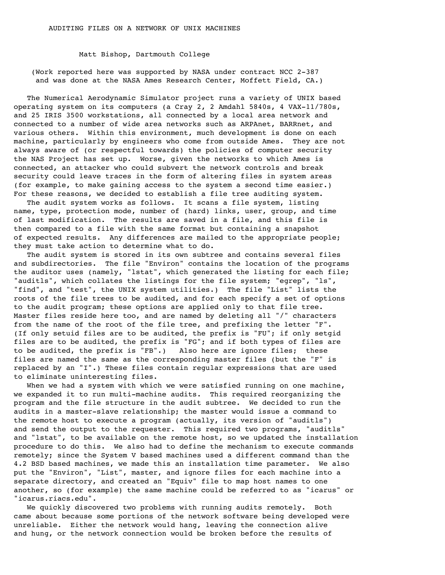Matt Bishop, Dartmouth College

(Work reported here was supported by NASA under contract NCC 2-387 and was done at the NASA Ames Research Center, Moffett Field, CA.)

The Numerical Aerodynamic Simulator project runs a variety of UNIX based operating system on its computers (a Cray 2, 2 Amdahl 5840s, 4 VAX-11/780s, and 25 IRIS 3500 workstations, all connected by a local area network and connected to a number of wide area networks such as ARPAnet, BARRnet, and various others. Within this environment, much development is done on each machine, particularly by engineers who come from outside Ames. They are not always aware of (or respectful towards) the policies of computer security the NAS Project has set up. Worse, given the networks to which Ames is connected, an attacker who could subvert the network controls and break security could leave traces in the form of altering files in system areas (for example, to make gaining access to the system a second time easier.) For these reasons, we decided to establish a file tree auditing system.

The audit system works as follows. It scans a file system, listing name, type, protection mode, number of (hard) links, user, group, and time of last modification. The results are saved in a file, and this file is then compared to a file with the same format but containing a snapshot of expected results. Any differences are mailed to the appropriate people; they must take action to determine what to do.

The audit system is stored in its own subtree and contains several files and subdirectories. The file "Environ" contains the location of the programs the auditor uses (namely, "lstat", which generated the listing for each file; "auditls", which collates the listings for the file system; "egrep", "ls", "find", and "test", the UNIX system utilities.) The file "List" lists the roots of the file trees to be audited, and for each specify a set of options to the audit program; these options are applied only to that file tree. Master files reside here too, and are named by deleting all "/" characters from the name of the root of the file tree, and prefixing the letter "F". (If only setuid files are to be audited, the prefix is "FU"; if only setgid files are to be audited, the prefix is "FG"; and if both types of files are to be audited, the prefix is "FB".) Also here are ignore files; these files are named the same as the corresponding master files (but the "F" is replaced by an "I".) These files contain regular expressions that are used to eliminate uninteresting files.

When we had a system with which we were satisfied running on one machine, we expanded it to run multi-machine audits. This required reorganizing the program and the file structure in the audit subtree. We decided to run the audits in a master-slave relationship; the master would issue a command to the remote host to execute a program (actually, its version of "auditls") and send the output to the requester. This required two programs, "auditls" and "lstat", to be available on the remote host, so we updated the installation procedure to do this. We also had to define the mechanism to execute commands remotely; since the System V based machines used a different command than the 4.2 BSD based machines, we made this an installation time parameter. We also put the "Environ", "List", master, and ignore files for each machine into a separate directory, and created an "Equiv" file to map host names to one another, so (for example) the same machine could be referred to as "icarus" or "icarus.riacs.edu".

We quickly discovered two problems with running audits remotely. Both came about because some portions of the network software being developed were unreliable. Either the network would hang, leaving the connection alive and hung, or the network connection would be broken before the results of